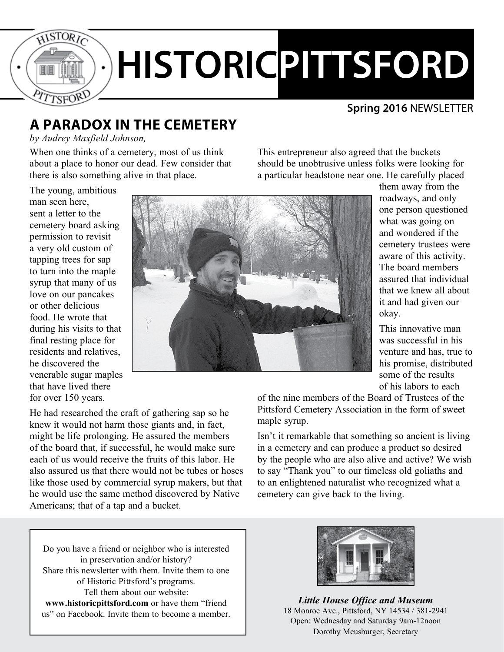

# **HISTORICPITTSFORD**

#### **Spring 2016** NEWSLETTER

## **A PARADOX IN THE CEMETERY**

*by Audrey Maxfield Johnson,*

When one thinks of a cemetery, most of us think about a place to honor our dead. Few consider that there is also something alive in that place.

This entrepreneur also agreed that the buckets should be unobtrusive unless folks were looking for a particular headstone near one. He carefully placed

The young, ambitious man seen here, sent a letter to the cemetery board asking permission to revisit a very old custom of tapping trees for sap to turn into the maple syrup that many of us love on our pancakes or other delicious food. He wrote that during his visits to that final resting place for residents and relatives, he discovered the venerable sugar maples that have lived there for over 150 years.



them away from the roadways, and only one person questioned what was going on and wondered if the cemetery trustees were aware of this activity. The board members assured that individual that we knew all about it and had given our okay.

This innovative man was successful in his venture and has, true to his promise, distributed some of the results of his labors to each

He had researched the craft of gathering sap so he knew it would not harm those giants and, in fact, might be life prolonging. He assured the members of the board that, if successful, he would make sure each of us would receive the fruits of this labor. He also assured us that there would not be tubes or hoses like those used by commercial syrup makers, but that he would use the same method discovered by Native Americans; that of a tap and a bucket.

of the nine members of the Board of Trustees of the Pittsford Cemetery Association in the form of sweet maple syrup.

Isn't it remarkable that something so ancient is living in a cemetery and can produce a product so desired by the people who are also alive and active? We wish to say "Thank you" to our timeless old goliaths and to an enlightened naturalist who recognized what a cemetery can give back to the living.

Do you have a friend or neighbor who is interested in preservation and/or history? Share this newsletter with them. Invite them to one of Historic Pittsford's programs. Tell them about our website: **www.historicpittsford.com** or have them "friend us" on Facebook. Invite them to become a member.



*Little House Office and Museum* 18 Monroe Ave., Pittsford, NY 14534 / 381-2941 Open: Wednesday and Saturday 9am-12noon Dorothy Meusburger, Secretary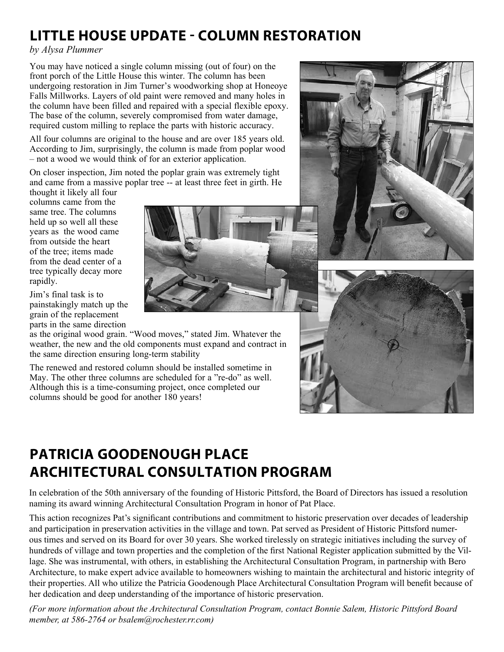## **LITTLE HOUSE UPDATE - COLUMN RESTORATION**

*by Alysa Plummer*

You may have noticed a single column missing (out of four) on the front porch of the Little House this winter. The column has been undergoing restoration in Jim Turner's woodworking shop at Honeoye Falls Millworks. Layers of old paint were removed and many holes in the column have been filled and repaired with a special flexible epoxy. The base of the column, severely compromised from water damage, required custom milling to replace the parts with historic accuracy.

All four columns are original to the house and are over 185 years old. According to Jim, surprisingly, the column is made from poplar wood – not a wood we would think of for an exterior application.

On closer inspection, Jim noted the poplar grain was extremely tight and came from a massive poplar tree -- at least three feet in girth. He

thought it likely all four columns came from the same tree. The columns held up so well all these years as the wood came from outside the heart of the tree; items made from the dead center of a tree typically decay more rapidly.

Jim's final task is to painstakingly match up the grain of the replacement parts in the same direction

as the original wood grain. "Wood moves," stated Jim. Whatever the weather, the new and the old components must expand and contract in the same direction ensuring long-term stability

The renewed and restored column should be installed sometime in May. The other three columns are scheduled for a "re-do" as well. Although this is a time-consuming project, once completed our columns should be good for another 180 years!

## **PATRICIA GOODENOUGH PLACE ARCHITECTURAL CONSULTATION PROGRAM**

In celebration of the 50th anniversary of the founding of Historic Pittsford, the Board of Directors has issued a resolution naming its award winning Architectural Consultation Program in honor of Pat Place.

This action recognizes Pat's significant contributions and commitment to historic preservation over decades of leadership and participation in preservation activities in the village and town. Pat served as President of Historic Pittsford numerous times and served on its Board for over 30 years. She worked tirelessly on strategic initiatives including the survey of hundreds of village and town properties and the completion of the first National Register application submitted by the Village. She was instrumental, with others, in establishing the Architectural Consultation Program, in partnership with Bero Architecture, to make expert advice available to homeowners wishing to maintain the architectural and historic integrity of their properties. All who utilize the Patricia Goodenough Place Architectural Consultation Program will benefit because of her dedication and deep understanding of the importance of historic preservation.

*(For more information about the Architectural Consultation Program, contact Bonnie Salem, Historic Pittsford Board member, at 586-2764 or bsalem@rochester.rr.com)*





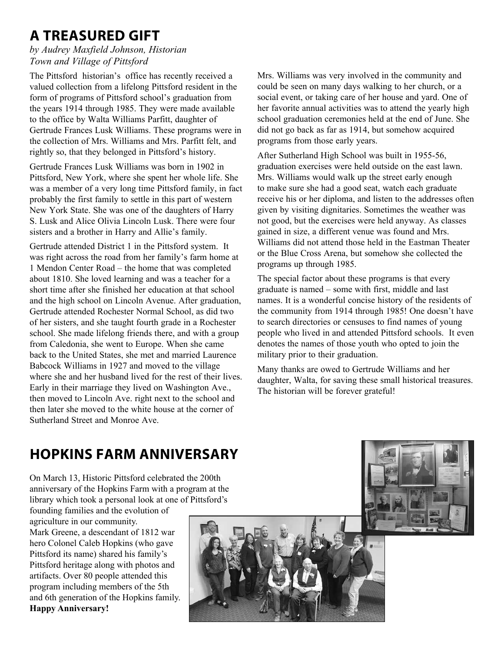## **A TREASURED GIFT**

#### *by Audrey Maxfield Johnson, Historian Town and Village of Pittsford*

The Pittsford historian's office has recently received a valued collection from a lifelong Pittsford resident in the form of programs of Pittsford school's graduation from the years 1914 through 1985. They were made available to the office by Walta Williams Parfitt, daughter of Gertrude Frances Lusk Williams. These programs were in the collection of Mrs. Williams and Mrs. Parfitt felt, and rightly so, that they belonged in Pittsford's history.

Gertrude Frances Lusk Williams was born in 1902 in Pittsford, New York, where she spent her whole life. She was a member of a very long time Pittsford family, in fact probably the first family to settle in this part of western New York State. She was one of the daughters of Harry S. Lusk and Alice Olivia Lincoln Lusk. There were four sisters and a brother in Harry and Allie's family.

Gertrude attended District 1 in the Pittsford system. It was right across the road from her family's farm home at 1 Mendon Center Road – the home that was completed about 1810. She loved learning and was a teacher for a short time after she finished her education at that school and the high school on Lincoln Avenue. After graduation, Gertrude attended Rochester Normal School, as did two of her sisters, and she taught fourth grade in a Rochester school. She made lifelong friends there, and with a group from Caledonia, she went to Europe. When she came back to the United States, she met and married Laurence Babcock Williams in 1927 and moved to the village where she and her husband lived for the rest of their lives. Early in their marriage they lived on Washington Ave., then moved to Lincoln Ave. right next to the school and then later she moved to the white house at the corner of Sutherland Street and Monroe Ave.

Mrs. Williams was very involved in the community and could be seen on many days walking to her church, or a social event, or taking care of her house and yard. One of her favorite annual activities was to attend the yearly high school graduation ceremonies held at the end of June. She did not go back as far as 1914, but somehow acquired programs from those early years.

After Sutherland High School was built in 1955-56, graduation exercises were held outside on the east lawn. Mrs. Williams would walk up the street early enough to make sure she had a good seat, watch each graduate receive his or her diploma, and listen to the addresses often given by visiting dignitaries. Sometimes the weather was not good, but the exercises were held anyway. As classes gained in size, a different venue was found and Mrs. Williams did not attend those held in the Eastman Theater or the Blue Cross Arena, but somehow she collected the programs up through 1985.

The special factor about these programs is that every graduate is named – some with first, middle and last names. It is a wonderful concise history of the residents of the community from 1914 through 1985! One doesn't have to search directories or censuses to find names of young people who lived in and attended Pittsford schools. It even denotes the names of those youth who opted to join the military prior to their graduation.

Many thanks are owed to Gertrude Williams and her daughter, Walta, for saving these small historical treasures. The historian will be forever grateful!

## **HOPKINS FARM ANNIVERSARY**

On March 13, Historic Pittsford celebrated the 200th anniversary of the Hopkins Farm with a program at the library which took a personal look at one of Pittsford's

founding families and the evolution of agriculture in our community. Mark Greene, a descendant of 1812 war hero Colonel Caleb Hopkins (who gave Pittsford its name) shared his family's Pittsford heritage along with photos and artifacts. Over 80 people attended this program including members of the 5th and 6th generation of the Hopkins family. **Happy Anniversary!**